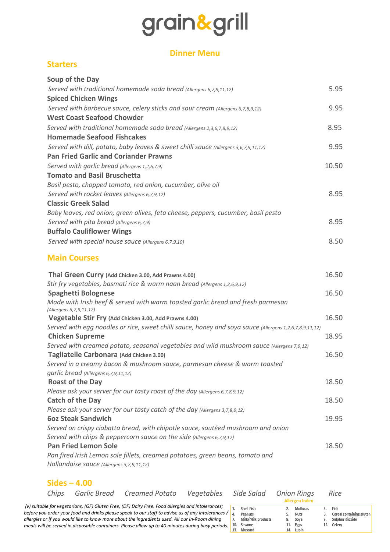# grain&grill

## **Dinner Menu**

### **Starters**

| Soup of the Day                                                                      |       |
|--------------------------------------------------------------------------------------|-------|
| Served with traditional homemade soda bread (Allergens 6,7,8,11,12)                  | 5.95  |
| <b>Spiced Chicken Wings</b>                                                          |       |
| Served with barbecue sauce, celery sticks and sour cream (Allergens 6,7,8,9,12)      | 9.95  |
| <b>West Coast Seafood Chowder</b>                                                    |       |
| Served with traditional homemade soda bread (Allergens 2,3,6,7,8,9,12)               | 8.95  |
| <b>Homemade Seafood Fishcakes</b>                                                    |       |
| Served with dill, potato, baby leaves & sweet chilli sauce (Allergens 3,6,7,9,11,12) | 9.95  |
| <b>Pan Fried Garlic and Coriander Prawns</b>                                         |       |
| Served with garlic bread (Allergens 1,2,6,7,9)                                       | 10.50 |
| <b>Tomato and Basil Bruschetta</b>                                                   |       |
| Basil pesto, chopped tomato, red onion, cucumber, olive oil                          |       |
| Served with rocket leaves (Allergens 6,7,9,12)                                       | 8.95  |
| <b>Classic Greek Salad</b>                                                           |       |
| Baby leaves, red onion, green olives, feta cheese, peppers, cucumber, basil pesto    |       |
| Served with pita bread (Allergens 6,7,9)                                             | 8.95  |
| <b>Buffalo Cauliflower Wings</b>                                                     |       |
| Served with special house sauce (Allergens 6,7,9,10)                                 | 8.50  |
| <b>Main Courses</b>                                                                  |       |

| Thai Green Curry (Add Chicken 3.00, Add Prawns 4.00)                                                    | 16.50 |
|---------------------------------------------------------------------------------------------------------|-------|
| Stir fry vegetables, basmati rice & warm naan bread (Allergens 1,2,6,9,12)                              |       |
| <b>Spaghetti Bolognese</b>                                                                              | 16.50 |
| Made with Irish beef & served with warm toasted garlic bread and fresh parmesan                         |       |
| (Allergens 6,7,9,11,12)                                                                                 |       |
| Vegetable Stir Fry (Add Chicken 3.00, Add Prawns 4.00)                                                  | 16.50 |
| Served with egg noodles or rice, sweet chilli sauce, honey and soya sauce (Allergens 1,2,6,7,8,9,11,12) |       |
| <b>Chicken Supreme</b>                                                                                  | 18.95 |
| Served with creamed potato, seasonal vegetables and wild mushroom sauce (Allergens 7,9,12)              |       |
| Tagliatelle Carbonara (Add Chicken 3.00)                                                                | 16.50 |
| Served in a creamy bacon & mushroom sauce, parmesan cheese & warm toasted                               |       |
| garlic bread (Allergens 6, 7, 9, 11, 12)                                                                |       |
| <b>Roast of the Day</b>                                                                                 | 18.50 |
| Please ask your server for our tasty roast of the day (Allergens 6,7,8,9,12)                            |       |
| <b>Catch of the Day</b>                                                                                 | 18.50 |
| Please ask your server for our tasty catch of the day (Allergens 3,7,8,9,12)                            |       |
| <b>60z Steak Sandwich</b>                                                                               | 19.95 |
| Served on crispy ciabatta bread, with chipotle sauce, sautéed mushroom and onion                        |       |
| Served with chips & peppercorn sauce on the side (Allergens 6, 7, 9, 12)                                |       |
| <b>Pan Fried Lemon Sole</b>                                                                             | 18.50 |
| Pan fired Irish Lemon sole fillets, creamed potatoes, green beans, tomato and                           |       |
| Hollandaise sauce (Allergens 3, 7, 9, 11, 12)                                                           |       |
|                                                                                                         |       |

### **Sides – 4.00**

| Chips | Garlic Bread | Creamed Potato                                                                                     | Vegetables | Side Salad           | <b>Onion Rings</b><br><b>Allergen Index</b> | Rice                     |
|-------|--------------|----------------------------------------------------------------------------------------------------|------------|----------------------|---------------------------------------------|--------------------------|
|       |              | (v) suitable for vegetarians, (GF) Gluten Free, (DF) Dairy Free. Food allergies and intolerances;  |            | Shell Fish           | 2. Molluscs                                 | Fish                     |
|       |              | before you order your food and drinks please speak to our staff to advise us of any intolerances / |            | Peanuts              | 5. Nuts                                     | Cereal containing gluten |
|       |              | allergies or if you would like to know more about the ingredients used. All our In-Room dining     |            | Milk/Milk products   | 8. Soya                                     | Sulphur dioxide          |
|       |              | meals will be served in disposable containers. Please allow up to 40 minutes during busy periods.  |            | 10. Sesame<br>47.541 | 11. Eggs                                    | 12. Celery               |